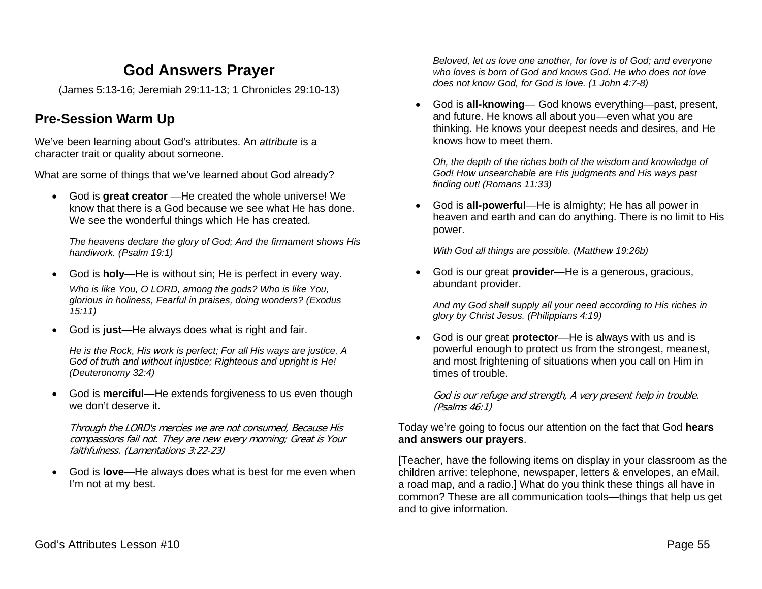# **God Answers Prayer**

(James 5:13-16; Jeremiah 29:11-13; 1 Chronicles 29:10-13)

## **Pre-Session Warm Up**

We've been learning about God's attributes. An *attribute* is a character trait or quality about someone.

What are some of things that we've learned about God already?

• God is **great creator** —He created the whole universe! We know that there is a God because we see what He has done. We see the wonderful things which He has created.

*The heavens declare the glory of God; And the firmament shows His handiwork. (Psalm 19:1)*

- God is **holy**—He is without sin; He is perfect in every way. *Who is like You, O LORD, among the gods? Who is like You, glorious in holiness, Fearful in praises, doing wonders? (Exodus 15:11)*
- God is **just**—He always does what is right and fair.

*He is the Rock, His work is perfect; For all His ways are justice, A God of truth and without injustice; Righteous and upright is He! (Deuteronomy 32:4)*

• God is **merciful**—He extends forgiveness to us even though we don't deserve it.

Through the LORD's mercies we are not consumed, Because His compassions fail not. They are new every morning; Great is Your faithfulness. (Lamentations 3:22-23)

• God is **love**—He always does what is best for me even when I'm not at my best.

*Beloved, let us love one another, for love is of God; and everyone who loves is born of God and knows God. He who does not love does not know God, for God is love. (1 John 4:7-8)*

• God is **all-knowing**— God knows everything—past, present, and future. He knows all about you—even what you are thinking. He knows your deepest needs and desires, and He knows how to meet them.

*Oh, the depth of the riches both of the wisdom and knowledge of God! How unsearchable are His judgments and His ways past finding out! (Romans 11:33)*

• God is **all-powerful**—He is almighty; He has all power in heaven and earth and can do anything. There is no limit to His power.

*With God all things are possible. (Matthew 19:26b)*

• God is our great **provider**—He is a generous, gracious, abundant provider.

*And my God shall supply all your need according to His riches in glory by Christ Jesus. (Philippians 4:19)*

• God is our great **protector**—He is always with us and is powerful enough to protect us from the strongest, meanest, and most frightening of situations when you call on Him in times of trouble.

God is our refuge and strength, A very present help in trouble. (Psalms 46:1)

Today we're going to focus our attention on the fact that God **hears and answers our prayers**.

[Teacher, have the following items on display in your classroom as the children arrive: telephone, newspaper, letters & envelopes, an eMail, a road map, and a radio.] What do you think these things all have in common? These are all communication tools—things that help us get and to give information.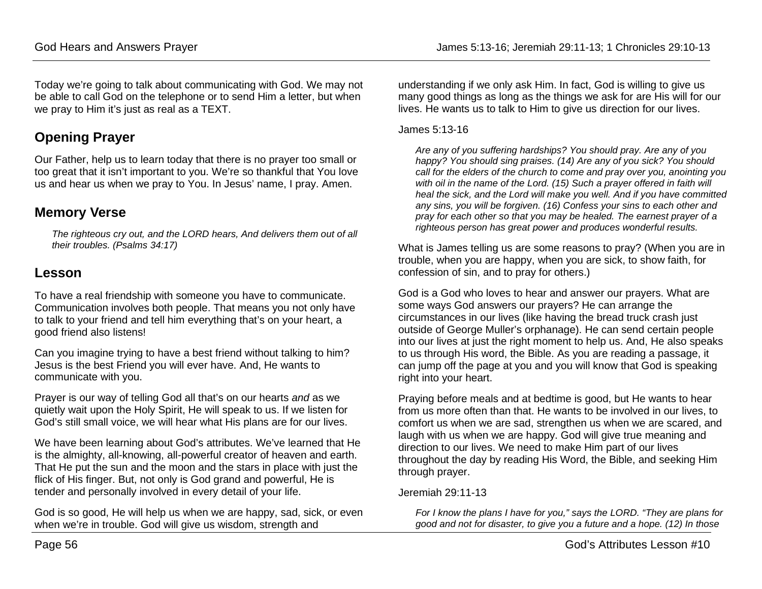Today we're going to talk about communicating with God. We may not be able to call God on the telephone or to send Him a letter, but when we pray to Him it's just as real as a TEXT.

# **Opening Prayer**

Our Father, help us to learn today that there is no prayer too small or too great that it isn't important to you. We're so thankful that You love us and hear us when we pray to You. In Jesus' name, I pray. Amen.

## **Memory Verse**

*The righteous cry out, and the LORD hears, And delivers them out of all their troubles. (Psalms 34:17)*

### **Lesson**

To have a real friendship with someone you have to communicate. Communication involves both people. That means you not only have to talk to your friend and tell him everything that's on your heart, a good friend also listens!

Can you imagine trying to have a best friend without talking to him? Jesus is the best Friend you will ever have. And, He wants to communicate with you.

Prayer is our way of telling God all that's on our hearts *and* as we quietly wait upon the Holy Spirit, He will speak to us. If we listen for God's still small voice, we will hear what His plans are for our lives.

We have been learning about God's attributes. We've learned that He is the almighty, all-knowing, all-powerful creator of heaven and earth. That He put the sun and the moon and the stars in place with just the flick of His finger. But, not only is God grand and powerful, He is tender and personally involved in every detail of your life.

God is so good, He will help us when we are happy, sad, sick, or even when we're in trouble. God will give us wisdom, strength and

understanding if we only ask Him. In fact, God is willing to give us many good things as long as the things we ask for are His will for our lives. He wants us to talk to Him to give us direction for our lives.

#### James 5:13-16

*Are any of you suffering hardships? You should pray. Are any of you happy? You should sing praises. (14) Are any of you sick? You should call for the elders of the church to come and pray over you, anointing you with oil in the name of the Lord. (15) Such a prayer offered in faith will heal the sick, and the Lord will make you well. And if you have committed any sins, you will be forgiven. (16) Confess your sins to each other and pray for each other so that you may be healed. The earnest prayer of a righteous person has great power and produces wonderful results.*

What is James telling us are some reasons to pray? (When you are in trouble, when you are happy, when you are sick, to show faith, for confession of sin, and to pray for others.)

God is a God who loves to hear and answer our prayers. What are some ways God answers our prayers? He can arrange the circumstances in our lives (like having the bread truck crash just outside of George Muller's orphanage). He can send certain people into our lives at just the right moment to help us. And, He also speaks to us through His word, the Bible. As you are reading a passage, it can jump off the page at you and you will know that God is speaking right into your heart.

Praying before meals and at bedtime is good, but He wants to hear from us more often than that. He wants to be involved in our lives, to comfort us when we are sad, strengthen us when we are scared, and laugh with us when we are happy. God will give true meaning and direction to our lives. We need to make Him part of our lives throughout the day by reading His Word, the Bible, and seeking Him through prayer.

### Jeremiah 29:11-13

*For I know the plans I have for you," says the LORD. "They are plans for good and not for disaster, to give you a future and a hope. (12) In those*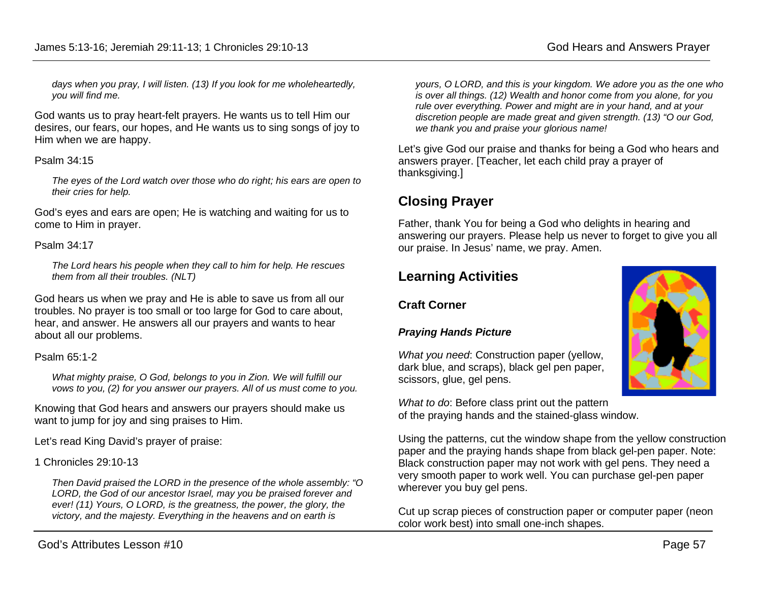*days when you pray, I will listen. (13) If you look for me wholeheartedly, you will find me.*

God wants us to pray heart-felt prayers. He wants us to tell Him our desires, our fears, our hopes, and He wants us to sing songs of joy to Him when we are happy.

#### Psalm 34:15

*The eyes of the Lord watch over those who do right; his ears are open to their cries for help.* 

God's eyes and ears are open; He is watching and waiting for us to come to Him in prayer.

#### Psalm 34:17

*The Lord hears his people when they call to him for help. He rescues them from all their troubles. (NLT)*

God hears us when we pray and He is able to save us from all our troubles. No prayer is too small or too large for God to care about, hear, and answer. He answers all our prayers and wants to hear about all our problems.

#### Psalm 65:1-2

*What mighty praise, O God, belongs to you in Zion. We will fulfill our vows to you, (2) for you answer our prayers. All of us must come to you.*

Knowing that God hears and answers our prayers should make us want to jump for joy and sing praises to Him.

Let's read King David's prayer of praise:

1 Chronicles 29:10-13

*Then David praised the LORD in the presence of the whole assembly: "O LORD, the God of our ancestor Israel, may you be praised forever and ever! (11) Yours, O LORD, is the greatness, the power, the glory, the victory, and the majesty. Everything in the heavens and on earth is* 

*yours, O LORD, and this is your kingdom. We adore you as the one who is over all things. (12) Wealth and honor come from you alone, for you rule over everything. Power and might are in your hand, and at your discretion people are made great and given strength. (13) "O our God, we thank you and praise your glorious name!*

Let's give God our praise and thanks for being a God who hears and answers prayer. [Teacher, let each child pray a prayer of thanksgiving.]

## **Closing Prayer**

Father, thank You for being a God who delights in hearing and answering our prayers. Please help us never to forget to give you all our praise. In Jesus' name, we pray. Amen.

## **Learning Activities**

### **Craft Corner**

### *Praying Hands Picture*

*What you need*: Construction paper (yellow, dark blue, and scraps), black gel pen paper, scissors, glue, gel pens.

*What to do*: Before class print out the pattern of the praying hands and the stained-glass window.

Using the patterns, cut the window shape from the yellow construction paper and the praying hands shape from black gel-pen paper. Note: Black construction paper may not work with gel pens. They need a very smooth paper to work well. You can purchase gel-pen paper wherever you buy gel pens.

Cut up scrap pieces of construction paper or computer paper (neon color work best) into small one-inch shapes.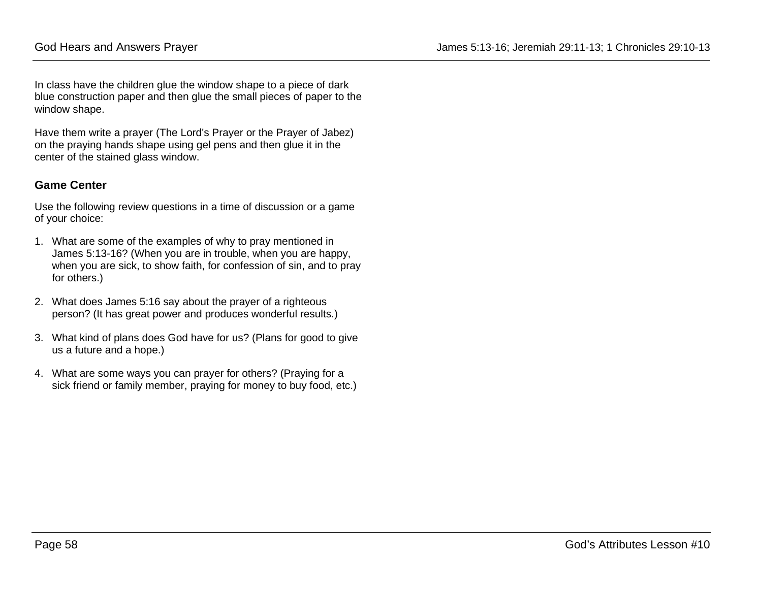In class have the children glue the window shape to a piece of dark blue construction paper and then glue the small pieces of paper to the window shape.

Have them write a prayer (The Lord's Prayer or the Prayer of Jabez) on the praying hands shape using gel pens and then glue it in the center of the stained glass window.

### **Game Center**

Use the following review questions in a time of discussion or a game of your choice:

- 1. What are some of the examples of why to pray mentioned in James 5:13-16? (When you are in trouble, when you are happy, when you are sick, to show faith, for confession of sin, and to pray for others.)
- 2. What does James 5:16 say about the prayer of a righteous person? (It has great power and produces wonderful results.)
- 3. What kind of plans does God have for us? (Plans for good to give us a future and a hope.)
- 4. What are some ways you can prayer for others? (Praying for a sick friend or family member, praying for money to buy food, etc.)